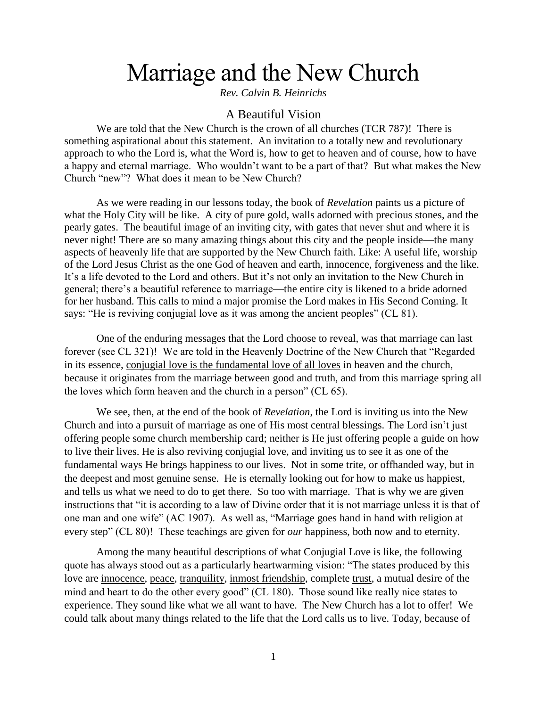# Marriage and the New Church

*Rev. Calvin B. Heinrichs*

# A Beautiful Vision

We are told that the New Church is the crown of all churches (TCR 787)! There is something aspirational about this statement. An invitation to a totally new and revolutionary approach to who the Lord is, what the Word is, how to get to heaven and of course, how to have a happy and eternal marriage. Who wouldn't want to be a part of that? But what makes the New Church "new"? What does it mean to be New Church?

As we were reading in our lessons today, the book of *Revelation* paints us a picture of what the Holy City will be like. A city of pure gold, walls adorned with precious stones, and the pearly gates. The beautiful image of an inviting city, with gates that never shut and where it is never night! There are so many amazing things about this city and the people inside—the many aspects of heavenly life that are supported by the New Church faith. Like: A useful life, worship of the Lord Jesus Christ as the one God of heaven and earth, innocence, forgiveness and the like. It's a life devoted to the Lord and others. But it's not only an invitation to the New Church in general; there's a beautiful reference to marriage—the entire city is likened to a bride adorned for her husband. This calls to mind a major promise the Lord makes in His Second Coming. It says: "He is reviving conjugial love as it was among the ancient peoples" (CL 81).

One of the enduring messages that the Lord choose to reveal, was that marriage can last forever (see CL 321)! We are told in the Heavenly Doctrine of the New Church that "Regarded in its essence, conjugial love is the fundamental love of all loves in heaven and the church, because it originates from the marriage between good and truth, and from this marriage spring all the loves which form heaven and the church in a person" (CL 65).

We see, then, at the end of the book of *Revelation*, the Lord is inviting us into the New Church and into a pursuit of marriage as one of His most central blessings. The Lord isn't just offering people some church membership card; neither is He just offering people a guide on how to live their lives. He is also reviving conjugial love, and inviting us to see it as one of the fundamental ways He brings happiness to our lives. Not in some trite, or offhanded way, but in the deepest and most genuine sense. He is eternally looking out for how to make us happiest, and tells us what we need to do to get there. So too with marriage. That is why we are given instructions that "it is according to a law of Divine order that it is not marriage unless it is that of one man and one wife" (AC 1907). As well as, "Marriage goes hand in hand with religion at every step" (CL 80)! These teachings are given for *our* happiness, both now and to eternity.

Among the many beautiful descriptions of what Conjugial Love is like, the following quote has always stood out as a particularly heartwarming vision: "The states produced by this love are innocence, peace, tranquility, inmost friendship, complete trust, a mutual desire of the mind and heart to do the other every good" (CL 180). Those sound like really nice states to experience. They sound like what we all want to have. The New Church has a lot to offer! We could talk about many things related to the life that the Lord calls us to live. Today, because of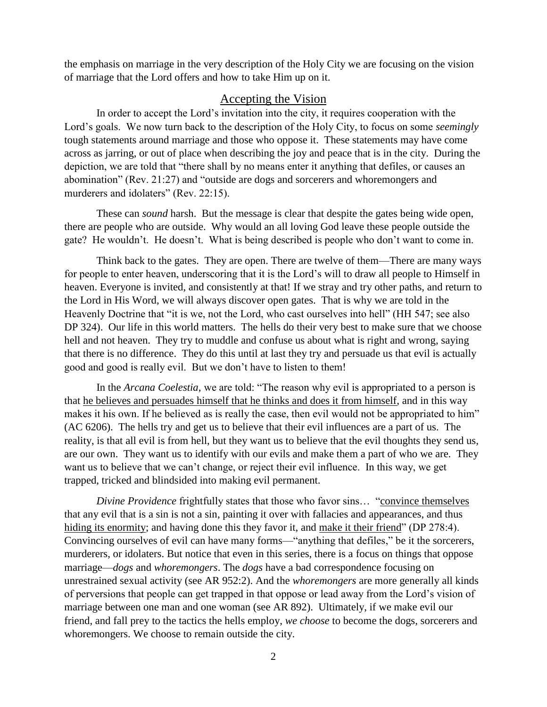the emphasis on marriage in the very description of the Holy City we are focusing on the vision of marriage that the Lord offers and how to take Him up on it.

## Accepting the Vision

In order to accept the Lord's invitation into the city, it requires cooperation with the Lord's goals. We now turn back to the description of the Holy City, to focus on some *seemingly*  tough statements around marriage and those who oppose it. These statements may have come across as jarring, or out of place when describing the joy and peace that is in the city. During the depiction, we are told that "there shall by no means enter it anything that defiles, or causes an abomination" (Rev. 21:27) and "outside are dogs and sorcerers and whoremongers and murderers and idolaters" (Rev. 22:15).

These can *sound* harsh. But the message is clear that despite the gates being wide open, there are people who are outside. Why would an all loving God leave these people outside the gate? He wouldn't. He doesn't. What is being described is people who don't want to come in.

Think back to the gates. They are open. There are twelve of them—There are many ways for people to enter heaven, underscoring that it is the Lord's will to draw all people to Himself in heaven. Everyone is invited, and consistently at that! If we stray and try other paths, and return to the Lord in His Word, we will always discover open gates. That is why we are told in the Heavenly Doctrine that "it is we, not the Lord, who cast ourselves into hell" (HH 547; see also DP 324). Our life in this world matters. The hells do their very best to make sure that we choose hell and not heaven. They try to muddle and confuse us about what is right and wrong, saying that there is no difference. They do this until at last they try and persuade us that evil is actually good and good is really evil. But we don't have to listen to them!

In the *Arcana Coelestia,* we are told: "The reason why evil is appropriated to a person is that he believes and persuades himself that he thinks and does it from himself, and in this way makes it his own. If he believed as is really the case, then evil would not be appropriated to him" (AC 6206). The hells try and get us to believe that their evil influences are a part of us. The reality, is that all evil is from hell, but they want us to believe that the evil thoughts they send us, are our own. They want us to identify with our evils and make them a part of who we are. They want us to believe that we can't change, or reject their evil influence. In this way, we get trapped, tricked and blindsided into making evil permanent.

*Divine Providence* frightfully states that those who favor sins... "convince themselves that any evil that is a sin is not a sin, painting it over with fallacies and appearances, and thus hiding its enormity; and having done this they favor it, and make it their friend" (DP 278:4). Convincing ourselves of evil can have many forms—"anything that defiles," be it the sorcerers, murderers, or idolaters. But notice that even in this series, there is a focus on things that oppose marriage—*dogs* and *whoremongers*. The *dogs* have a bad correspondence focusing on unrestrained sexual activity (see AR 952:2). And the *whoremongers* are more generally all kinds of perversions that people can get trapped in that oppose or lead away from the Lord's vision of marriage between one man and one woman (see AR 892). Ultimately, if we make evil our friend, and fall prey to the tactics the hells employ, *we choose* to become the dogs, sorcerers and whoremongers. We choose to remain outside the city.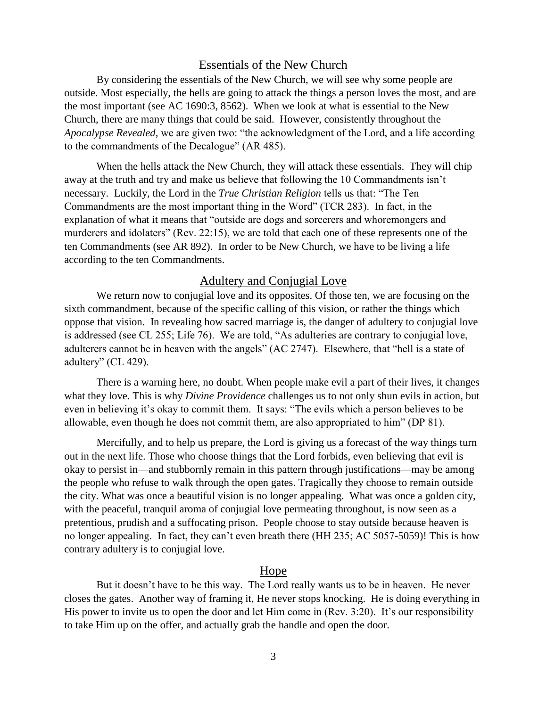# Essentials of the New Church

By considering the essentials of the New Church, we will see why some people are outside. Most especially, the hells are going to attack the things a person loves the most, and are the most important (see AC 1690:3, 8562). When we look at what is essential to the New Church, there are many things that could be said. However, consistently throughout the *Apocalypse Revealed,* we are given two: "the acknowledgment of the Lord, and a life according to the commandments of the Decalogue" (AR 485).

When the hells attack the New Church, they will attack these essentials. They will chip away at the truth and try and make us believe that following the 10 Commandments isn't necessary. Luckily, the Lord in the *True Christian Religion* tells us that: "The Ten Commandments are the most important thing in the Word" (TCR 283). In fact, in the explanation of what it means that "outside are dogs and sorcerers and whoremongers and murderers and idolaters" (Rev. 22:15), we are told that each one of these represents one of the ten Commandments (see AR 892). In order to be New Church, we have to be living a life according to the ten Commandments.

## Adultery and Conjugial Love

We return now to conjugial love and its opposites. Of those ten, we are focusing on the sixth commandment, because of the specific calling of this vision, or rather the things which oppose that vision. In revealing how sacred marriage is, the danger of adultery to conjugial love is addressed (see CL 255; Life 76). We are told, "As adulteries are contrary to conjugial love, adulterers cannot be in heaven with the angels" (AC 2747). Elsewhere, that "hell is a state of adultery" (CL 429).

There is a warning here, no doubt. When people make evil a part of their lives, it changes what they love. This is why *Divine Providence* challenges us to not only shun evils in action, but even in believing it's okay to commit them. It says: "The evils which a person believes to be allowable, even though he does not commit them, are also appropriated to him" (DP 81).

Mercifully, and to help us prepare, the Lord is giving us a forecast of the way things turn out in the next life. Those who choose things that the Lord forbids, even believing that evil is okay to persist in—and stubbornly remain in this pattern through justifications—may be among the people who refuse to walk through the open gates. Tragically they choose to remain outside the city. What was once a beautiful vision is no longer appealing. What was once a golden city, with the peaceful, tranquil aroma of conjugial love permeating throughout, is now seen as a pretentious, prudish and a suffocating prison. People choose to stay outside because heaven is no longer appealing. In fact, they can't even breath there (HH 235; AC 5057-5059)! This is how contrary adultery is to conjugial love.

#### Hope

But it doesn't have to be this way. The Lord really wants us to be in heaven. He never closes the gates. Another way of framing it, He never stops knocking. He is doing everything in His power to invite us to open the door and let Him come in (Rev. 3:20). It's our responsibility to take Him up on the offer, and actually grab the handle and open the door.